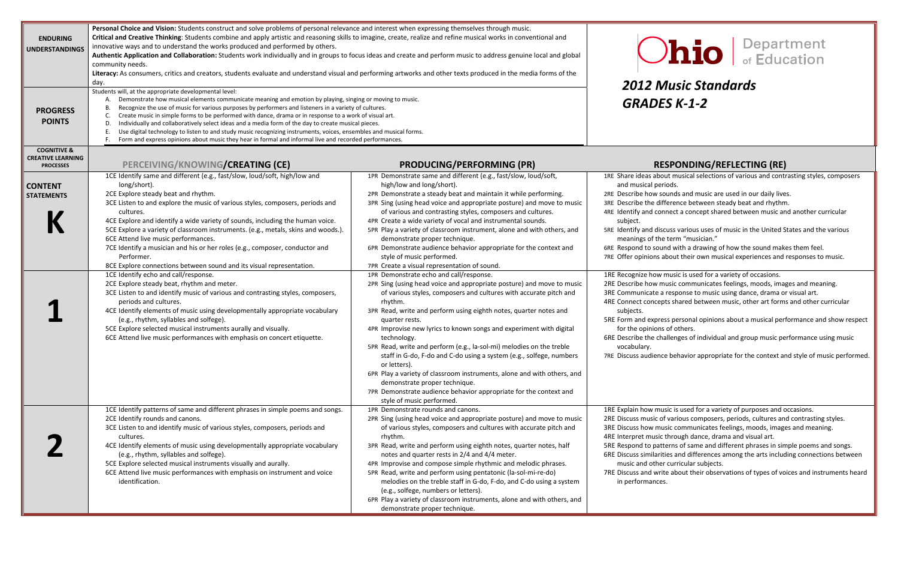## *Music Standards GRADES K‐1‐2*

#### **PESPONDING/REFLECTING (RE)**

| <b>ENDURING</b><br><b>UNDERSTANDINGS</b>                               | Personal Choice and Vision: Students construct and solve problems of personal relevance and interest when expressing themselves through music.<br>Critical and Creative Thinking: Students combine and apply artistic and reasoning skills to imagine, create, realize and refine musical works in conventional and<br>innovative ways and to understand the works produced and performed by others.<br>Authentic Application and Collaboration: Students work individually and in groups to focus ideas and create and perform music to address genuine local and global<br>community needs.<br>Literacy: As consumers, critics and creators, students evaluate and understand visual and performing artworks and other texts produced in the media forms of the<br>day.<br>Students will, at the appropriate developmental level:                                                                                                                                                                                                                                                    |                                                                                                                                                                                                                                                                                                                                                                                                                                                                                                                                                                                                                                                                                                                                                                                                                                                                                                                                                                                                                                                                                                                                                                                                                                                                                                                                                                                                  | 2012 Music S                                                                                                                                                                                                                                                                                                                                                                                                                                                                                                                                                                                                              |
|------------------------------------------------------------------------|----------------------------------------------------------------------------------------------------------------------------------------------------------------------------------------------------------------------------------------------------------------------------------------------------------------------------------------------------------------------------------------------------------------------------------------------------------------------------------------------------------------------------------------------------------------------------------------------------------------------------------------------------------------------------------------------------------------------------------------------------------------------------------------------------------------------------------------------------------------------------------------------------------------------------------------------------------------------------------------------------------------------------------------------------------------------------------------|--------------------------------------------------------------------------------------------------------------------------------------------------------------------------------------------------------------------------------------------------------------------------------------------------------------------------------------------------------------------------------------------------------------------------------------------------------------------------------------------------------------------------------------------------------------------------------------------------------------------------------------------------------------------------------------------------------------------------------------------------------------------------------------------------------------------------------------------------------------------------------------------------------------------------------------------------------------------------------------------------------------------------------------------------------------------------------------------------------------------------------------------------------------------------------------------------------------------------------------------------------------------------------------------------------------------------------------------------------------------------------------------------|---------------------------------------------------------------------------------------------------------------------------------------------------------------------------------------------------------------------------------------------------------------------------------------------------------------------------------------------------------------------------------------------------------------------------------------------------------------------------------------------------------------------------------------------------------------------------------------------------------------------------|
| <b>PROGRESS</b><br><b>POINTS</b>                                       | Demonstrate how musical elements communicate meaning and emotion by playing, singing or moving to music.<br>А.<br>Recognize the use of music for various purposes by performers and listeners in a variety of cultures.<br>В.<br>Create music in simple forms to be performed with dance, drama or in response to a work of visual art.<br>C.<br>Individually and collaboratively select ideas and a media form of the day to create musical pieces.<br>D.<br>Use digital technology to listen to and study music recognizing instruments, voices, ensembles and musical forms.<br>Ε.<br>Form and express opinions about music they hear in formal and informal live and recorded performances.<br>F.                                                                                                                                                                                                                                                                                                                                                                                  |                                                                                                                                                                                                                                                                                                                                                                                                                                                                                                                                                                                                                                                                                                                                                                                                                                                                                                                                                                                                                                                                                                                                                                                                                                                                                                                                                                                                  | <b>GRADES K-1-</b>                                                                                                                                                                                                                                                                                                                                                                                                                                                                                                                                                                                                        |
| <b>COGNITIVE &amp;</b><br><b>CREATIVE LEARNING</b><br><b>PROCESSES</b> | PERCEIVING/KNOWING/CREATING (CE)                                                                                                                                                                                                                                                                                                                                                                                                                                                                                                                                                                                                                                                                                                                                                                                                                                                                                                                                                                                                                                                       | <b>PRODUCING/PERFORMING (PR)</b>                                                                                                                                                                                                                                                                                                                                                                                                                                                                                                                                                                                                                                                                                                                                                                                                                                                                                                                                                                                                                                                                                                                                                                                                                                                                                                                                                                 | <b>RESPONDI</b>                                                                                                                                                                                                                                                                                                                                                                                                                                                                                                                                                                                                           |
| <b>CONTENT</b><br><b>STATEMENTS</b>                                    | 1CE Identify same and different (e.g., fast/slow, loud/soft, high/low and<br>long/short).<br>2CE Explore steady beat and rhythm.<br>3CE Listen to and explore the music of various styles, composers, periods and<br>cultures.<br>4CE Explore and identify a wide variety of sounds, including the human voice.<br>5CE Explore a variety of classroom instruments. (e.g., metals, skins and woods.).<br>6CE Attend live music performances.<br>7CE Identify a musician and his or her roles (e.g., composer, conductor and<br>Performer.<br>8CE Explore connections between sound and its visual representation.<br>1CE Identify echo and call/response.<br>2CE Explore steady beat, rhythm and meter.<br>3CE Listen to and identify music of various and contrasting styles, composers,<br>periods and cultures.<br>4CE Identify elements of music using developmentally appropriate vocabulary<br>(e.g., rhythm, syllables and solfege).<br>5CE Explore selected musical instruments aurally and visually.<br>6CE Attend live music performances with emphasis on concert etiquette. | 1PR Demonstrate same and different (e.g., fast/slow, loud/soft,<br>high/low and long/short).<br>2PR Demonstrate a steady beat and maintain it while performing.<br>3PR Sing (using head voice and appropriate posture) and move to music<br>of various and contrasting styles, composers and cultures.<br>4PR Create a wide variety of vocal and instrumental sounds.<br>5PR Play a variety of classroom instrument, alone and with others, and<br>demonstrate proper technique.<br>6PR Demonstrate audience behavior appropriate for the context and<br>style of music performed.<br>7PR Create a visual representation of sound.<br>1PR Demonstrate echo and call/response.<br>2PR Sing (using head voice and appropriate posture) and move to music<br>of various styles, composers and cultures with accurate pitch and<br>rhythm.<br>3PR Read, write and perform using eighth notes, quarter notes and<br>quarter rests.<br>4PR Improvise new lyrics to known songs and experiment with digital<br>technology.<br>5PR Read, write and perform (e.g., la-sol-mi) melodies on the treble<br>staff in G-do, F-do and C-do using a system (e.g., solfege, numbers<br>or letters).<br>6PR Play a variety of classroom instruments, alone and with others, and<br>demonstrate proper technique.<br>7PR Demonstrate audience behavior appropriate for the context and<br>style of music performed. | 1RE Share ideas about musical s<br>and musical periods.<br>2RE Describe how sounds and m<br>3RE Describe the difference bet<br>4RE Identify and connect a conc<br>subject.<br>5RE Identify and discuss various<br>meanings of the term "mus<br>6RE Respond to sound with a dr<br>7RE Offer opinions about their c<br>1RE Recognize how music is use<br>2RE Describe how music commu<br>3RE Communicate a response to<br>4RE Connect concepts shared be<br>subjects.<br>5RE Form and express personal<br>for the opinions of others.<br>6RE Describe the challenges of i<br>vocabulary.<br>7RE Discuss audience behavior a |
|                                                                        | 1CE Identify patterns of same and different phrases in simple poems and songs.<br>2CE Identify rounds and canons.<br>3CE Listen to and identify music of various styles, composers, periods and<br>cultures.<br>4CE Identify elements of music using developmentally appropriate vocabulary<br>(e.g., rhythm, syllables and solfege).<br>5CE Explore selected musical instruments visually and aurally.<br>6CE Attend live music performances with emphasis on instrument and voice<br>identification.                                                                                                                                                                                                                                                                                                                                                                                                                                                                                                                                                                                 | 1PR Demonstrate rounds and canons.<br>2PR Sing (using head voice and appropriate posture) and move to music<br>of various styles, composers and cultures with accurate pitch and<br>rhythm.<br>3PR Read, write and perform using eighth notes, quarter notes, half<br>notes and quarter rests in 2/4 and 4/4 meter.<br>4PR Improvise and compose simple rhythmic and melodic phrases.<br>5PR Read, write and perform using pentatonic (la-sol-mi-re-do)<br>melodies on the treble staff in G-do, F-do, and C-do using a system<br>(e.g., solfege, numbers or letters).<br>6PR Play a variety of classroom instruments, alone and with others, and<br>demonstrate proper technique.                                                                                                                                                                                                                                                                                                                                                                                                                                                                                                                                                                                                                                                                                                               | 1RE Explain how music is used fo<br>2RE Discuss music of various cor<br>3RE Discuss how music commun<br>4RE Interpret music through dar<br>5RE Respond to patterns of sam<br>6RE Discuss similarities and diffe<br>music and other curricular s<br>7RE Discuss and write about the<br>in performances.                                                                                                                                                                                                                                                                                                                    |

## $\sum_i$   $\sum_{\text{of Education}}$

- ideas about musical selections of various and contrasting styles, composers eriods.
	- sounds and music are used in our daily lives.
- e the difference between steady beat and rhythm.
	- Ionnect a concept shared between music and another curricular
	- Iscuss various uses of music in the United States and the various he term "musician."
	- ound with a drawing of how the sound makes them feel.
	- about their own musical experiences and responses to music.
	- v music is used for a variety of occasions.
	- music communicates feelings, moods, images and meaning.
	- <sup>a</sup> response to music using dance, drama or visual art.
	- epts shared between music, other art forms and other curricular
	- ress personal opinions about a musical performance and show respect ns of others.
	- hallenges of individual and group music performance using music
- Discuss audience behavior appropriate for the context and style of music performed.

how is used for a variety of purposes and occasions.

- of various composers, periods, cultures and contrasting styles.
- music communicates feelings, moods, images and meaning.
- Ic through dance, drama and visual art.
- Itterns of same and different phrases in simple poems and songs.
- Discuss similarities and differences among the arts including connections between er curricular subjects.
	- rite about their observations of types of voices and instruments heard es.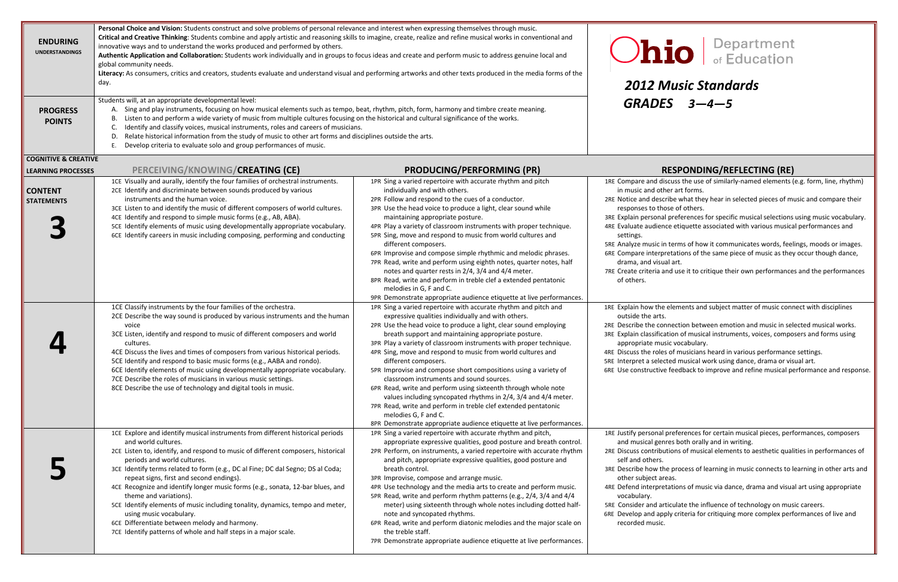## *Music Standards GRADES 3—4—5*

#### **PROCESSES PERCEIVING/KNOWING/CREATING (CE) PRODUCING/PERFORMING (PR) RESPONDING/REFLECTING (RE)**

iscuss the use of similarly-named elements (e.g. form, line, rhythm) her art forms.

cribe what they hear in selected pieces of music and compare their ose of others.

al preferences for specific musical selections using music vocabulary. nce etiquette associated with various musical performances and

In terms of how it communicates words, feelings, moods or images. retations of the same piece of music as they occur though dance, al art.

criteria and use it to critique their own performances and the performances

elements and subject matter of music connect with disciplines

e the connection between emotion and music in selected musical works. ation of musical instruments, voices, composers and forms using asic vocabulary.

e roles of musicians heard in various performance settings.

cted musical work using dance, drama or visual art.

| <b>ENDURING</b><br><b>UNDERSTANDINGS</b>                     | Personal Choice and Vision: Students construct and solve problems of personal relevance and interest when expressing themselves through music.<br>Critical and Creative Thinking: Students combine and apply artistic and reasoning skills to imagine, create, realize and refine musical works in conventional and<br>innovative ways and to understand the works produced and performed by others.<br>Authentic Application and Collaboration: Students work individually and in groups to focus ideas and create and perform music to address genuine local and<br>global community needs.<br>Literacy: As consumers, critics and creators, students evaluate and understand visual and performing artworks and other texts produced in the media forms of the<br>day.<br>Students will, at an appropriate developmental level: |                                                                                                                                                                                                                                                                                                                                                                                                                                                                                                                                                                                                                                                                                                                                                                                                                                    | D<br><b>Ohio</b><br>2012 Music Stan<br>GRADES 3-4-                                                                                                                                                                                                                                                                                                                                                                                  |
|--------------------------------------------------------------|------------------------------------------------------------------------------------------------------------------------------------------------------------------------------------------------------------------------------------------------------------------------------------------------------------------------------------------------------------------------------------------------------------------------------------------------------------------------------------------------------------------------------------------------------------------------------------------------------------------------------------------------------------------------------------------------------------------------------------------------------------------------------------------------------------------------------------|------------------------------------------------------------------------------------------------------------------------------------------------------------------------------------------------------------------------------------------------------------------------------------------------------------------------------------------------------------------------------------------------------------------------------------------------------------------------------------------------------------------------------------------------------------------------------------------------------------------------------------------------------------------------------------------------------------------------------------------------------------------------------------------------------------------------------------|-------------------------------------------------------------------------------------------------------------------------------------------------------------------------------------------------------------------------------------------------------------------------------------------------------------------------------------------------------------------------------------------------------------------------------------|
| <b>PROGRESS</b><br><b>POINTS</b>                             | A. Sing and play instruments, focusing on how musical elements such as tempo, beat, rhythm, pitch, form, harmony and timbre create meaning.<br>Listen to and perform a wide variety of music from multiple cultures focusing on the historical and cultural significance of the works.<br>В.<br>Identify and classify voices, musical instruments, roles and careers of musicians.<br>C.<br>Relate historical information from the study of music to other art forms and disciplines outside the arts.<br>D.<br>Develop criteria to evaluate solo and group performances of music.<br>Ε.                                                                                                                                                                                                                                           |                                                                                                                                                                                                                                                                                                                                                                                                                                                                                                                                                                                                                                                                                                                                                                                                                                    |                                                                                                                                                                                                                                                                                                                                                                                                                                     |
| <b>COGNITIVE &amp; CREATIVE</b><br><b>LEARNING PROCESSES</b> | PERCEIVING/KNOWING/CREATING (CE)                                                                                                                                                                                                                                                                                                                                                                                                                                                                                                                                                                                                                                                                                                                                                                                                   | <b>PRODUCING/PERFORMING (PR)</b>                                                                                                                                                                                                                                                                                                                                                                                                                                                                                                                                                                                                                                                                                                                                                                                                   | <b>RESPONDING/I</b>                                                                                                                                                                                                                                                                                                                                                                                                                 |
| <b>CONTENT</b><br><b>STATEMENTS</b>                          | 1CE Visually and aurally, identify the four families of orchestral instruments.<br>2CE Identify and discriminate between sounds produced by various<br>instruments and the human voice.<br>3CE Listen to and identify the music of different composers of world cultures.<br>4CE Identify and respond to simple music forms (e.g., AB, ABA).<br>5CE Identify elements of music using developmentally appropriate vocabulary.<br>6CE Identify careers in music including composing, performing and conducting                                                                                                                                                                                                                                                                                                                       | 1PR Sing a varied repertoire with accurate rhythm and pitch<br>individually and with others.<br>2PR Follow and respond to the cues of a conductor.<br>3PR Use the head voice to produce a light, clear sound while<br>maintaining appropriate posture.<br>4PR Play a variety of classroom instruments with proper technique.<br>5PR Sing, move and respond to music from world cultures and<br>different composers.<br>6PR Improvise and compose simple rhythmic and melodic phrases.<br>7PR Read, write and perform using eighth notes, quarter notes, half<br>notes and quarter rests in 2/4, 3/4 and 4/4 meter.<br>8PR Read, write and perform in treble clef a extended pentatonic<br>melodies in G, F and C.<br>9PR Demonstrate appropriate audience etiquette at live performances.                                          | 1RE Compare and discuss the use of simi<br>in music and other art forms.<br>2RE Notice and describe what they hear<br>responses to those of others.<br>3RE Explain personal preferences for spe<br>4RE Evaluate audience etiquette associa<br>settings.<br>5RE Analyze music in terms of how it cor<br>6RE Compare interpretations of the sam<br>drama, and visual art.<br>7RE Create criteria and use it to critique<br>of others. |
|                                                              | 1CE Classify instruments by the four families of the orchestra.<br>2CE Describe the way sound is produced by various instruments and the human<br>voice<br>3CE Listen, identify and respond to music of different composers and world<br>cultures.<br>4CE Discuss the lives and times of composers from various historical periods.<br>5CE Identify and respond to basic music forms (e.g., AABA and rondo).<br>6CE Identify elements of music using developmentally appropriate vocabulary.<br>7CE Describe the roles of musicians in various music settings.<br>8CE Describe the use of technology and digital tools in music.                                                                                                                                                                                                   | 1PR Sing a varied repertoire with accurate rhythm and pitch and<br>expressive qualities individually and with others.<br>2PR Use the head voice to produce a light, clear sound employing<br>breath support and maintaining appropriate posture.<br>3PR Play a variety of classroom instruments with proper technique.<br>4PR Sing, move and respond to music from world cultures and<br>different composers.<br>5PR Improvise and compose short compositions using a variety of<br>classroom instruments and sound sources.<br>6PR Read, write and perform using sixteenth through whole note<br>values including syncopated rhythms in 2/4, 3/4 and 4/4 meter.<br>7PR Read, write and perform in treble clef extended pentatonic<br>melodies G, F and C.<br>8PR Demonstrate appropriate audience etiquette at live performances. | 1RE Explain how the elements and subje<br>outside the arts.<br>2RE Describe the connection between er<br>3RE Explain classification of musical instr<br>appropriate music vocabulary.<br>4RE Discuss the roles of musicians heard<br>5RE Interpret a selected musical work us<br>6RE Use constructive feedback to improv                                                                                                            |
|                                                              | 1CE Explore and identify musical instruments from different historical periods<br>and world cultures.<br>2CE Listen to, identify, and respond to music of different composers, historical<br>periods and world cultures.<br>3CE Identify terms related to form (e.g., DC al Fine; DC dal Segno; DS al Coda;<br>repeat signs, first and second endings).<br>4CE Recognize and identify longer music forms (e.g., sonata, 12-bar blues, and<br>theme and variations).<br>5CE Identify elements of music including tonality, dynamics, tempo and meter,<br>using music vocabulary.<br>6CE Differentiate between melody and harmony.<br>7CE Identify patterns of whole and half steps in a major scale.                                                                                                                                | 1PR Sing a varied repertoire with accurate rhythm and pitch,<br>appropriate expressive qualities, good posture and breath control.<br>2PR Perform, on instruments, a varied repertoire with accurate rhythm<br>and pitch, appropriate expressive qualities, good posture and<br>breath control.<br>3PR Improvise, compose and arrange music.<br>4PR Use technology and the media arts to create and perform music.<br>5PR Read, write and perform rhythm patterns (e.g., 2/4, 3/4 and 4/4<br>meter) using sixteenth through whole notes including dotted half-<br>note and syncopated rhythms.<br>6PR Read, write and perform diatonic melodies and the major scale on<br>the treble staff.<br>7PR Demonstrate appropriate audience etiquette at live performances.                                                                | 1RE Justify personal preferences for cert<br>and musical genres both orally and i<br>2RE Discuss contributions of musical eler<br>self and others.<br>3RE Describe how the process of learning<br>other subject areas.<br>4RE Defend interpretations of music via<br>vocabulary.<br>5RE Consider and articulate the influenc<br>6RE Develop and apply criteria for critiqu<br>recorded music.                                       |



constructive feedback to improve and refine musical performance and response.

I preferences for certain musical pieces, performances, composers nres both orally and in writing.

Discuss contributions of musical elements to aesthetic qualities in performances of

he process of learning in music connects to learning in other arts and reas.

etations of music via dance, drama and visual art using appropriate

rticulate the influence of technology on music careers.

ply criteria for critiquing more complex performances of live and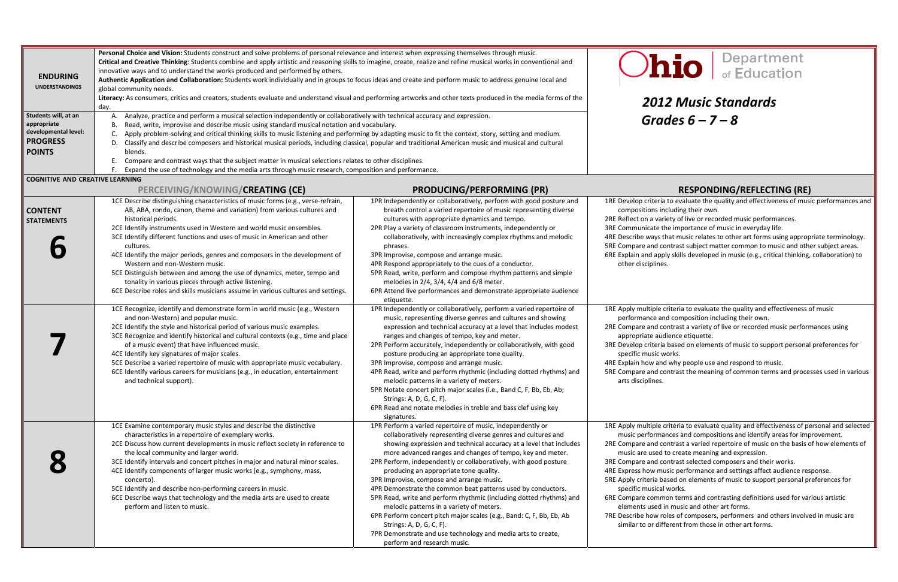## day. *2012 Music Standards Grades 6*

#### **PERCEIVING/KNOWING/CREATING (CE) PRODUCING/PERFORMING (PR) RESPONDING/REFLECTING (RE)**

ia to evaluate the quality and effectiveness of music performances and including their own.

ariety of live or recorded music performances.

the importance of music in everyday life.

that music relates to other art forms using appropriate terminology. contrast subject matter common to music and other subject areas. ply skills developed in music (e.g., critical thinking, collaboration) to es.

expleria to evaluate the quality and effectiveness of music and composition including their own.

contrast a variety of live or recorded music performances using udience etiquette.

ia based on elements of music to support personal preferences for works.

nd why people use and respond to music.

contrast the meaning of common terms and processes used in various

expleria to evaluate quality and effectiveness of personal and selected ances and compositions and identify areas for improvement.

contrast a varied repertoire of music on the basis of how elements of e used to create meaning and expression.

contrast selected composers and their works.

nusic performance and settings affect audience response.

based on elements of music to support personal preferences for al works.

mon terms and contrasting definitions used for various artistic I in music and other art forms.

 roles of composers, performers and others involved in music are o or different from those in other art forms.

| <b>ENDURING</b><br><b>UNDERSTANDINGS</b><br>Students will, at an<br>appropriate<br>developmental level:<br><b>PROGRESS</b><br><b>POINTS</b> | Personal Choice and Vision: Students construct and solve problems of personal relevance and interest when expressing themselves through music.<br>Critical and Creative Thinking: Students combine and apply artistic and reasoning skills to imagine, create, realize and refine musical works in conventional and<br>innovative ways and to understand the works produced and performed by others.<br>Authentic Application and Collaboration: Students work individually and in groups to focus ideas and create and perform music to address genuine local and<br>global community needs.<br>Literacy: As consumers, critics and creators, students evaluate and understand visual and performing artworks and other texts produced in the media forms of the<br>day.<br>Analyze, practice and perform a musical selection independently or collaboratively with technical accuracy and expression.<br>А.<br>Read, write, improvise and describe music using standard musical notation and vocabulary.<br>В.<br>Apply problem-solving and critical thinking skills to music listening and performing by adapting music to fit the context, story, setting and medium.<br>Classify and describe composers and historical musical periods, including classical, popular and traditional American music and musical and cultural<br>D.<br>blends.<br>Compare and contrast ways that the subject matter in musical selections relates to other disciplines. |                                                                                                                                                                                                                                                                                                                                                                                                                                                                                                                                                                                                                                                                                                                                                                                                                | De<br>Dhio<br><b>2012 Music Star</b><br>Grades $6 - 7 - 8$                                                                                                                                                                                                                                                                                                                                                                                                                                                                              |
|---------------------------------------------------------------------------------------------------------------------------------------------|-------------------------------------------------------------------------------------------------------------------------------------------------------------------------------------------------------------------------------------------------------------------------------------------------------------------------------------------------------------------------------------------------------------------------------------------------------------------------------------------------------------------------------------------------------------------------------------------------------------------------------------------------------------------------------------------------------------------------------------------------------------------------------------------------------------------------------------------------------------------------------------------------------------------------------------------------------------------------------------------------------------------------------------------------------------------------------------------------------------------------------------------------------------------------------------------------------------------------------------------------------------------------------------------------------------------------------------------------------------------------------------------------------------------------------------------------------------|----------------------------------------------------------------------------------------------------------------------------------------------------------------------------------------------------------------------------------------------------------------------------------------------------------------------------------------------------------------------------------------------------------------------------------------------------------------------------------------------------------------------------------------------------------------------------------------------------------------------------------------------------------------------------------------------------------------------------------------------------------------------------------------------------------------|-----------------------------------------------------------------------------------------------------------------------------------------------------------------------------------------------------------------------------------------------------------------------------------------------------------------------------------------------------------------------------------------------------------------------------------------------------------------------------------------------------------------------------------------|
|                                                                                                                                             | Expand the use of technology and the media arts through music research, composition and performance.                                                                                                                                                                                                                                                                                                                                                                                                                                                                                                                                                                                                                                                                                                                                                                                                                                                                                                                                                                                                                                                                                                                                                                                                                                                                                                                                                        |                                                                                                                                                                                                                                                                                                                                                                                                                                                                                                                                                                                                                                                                                                                                                                                                                |                                                                                                                                                                                                                                                                                                                                                                                                                                                                                                                                         |
| <b>COGNITIVE AND CREATIVE LEARNING</b>                                                                                                      | PERCEIVING/KNOWING/CREATING (CE)                                                                                                                                                                                                                                                                                                                                                                                                                                                                                                                                                                                                                                                                                                                                                                                                                                                                                                                                                                                                                                                                                                                                                                                                                                                                                                                                                                                                                            | <b>PRODUCING/PERFORMING (PR)</b>                                                                                                                                                                                                                                                                                                                                                                                                                                                                                                                                                                                                                                                                                                                                                                               | <b>RESPONDING</b>                                                                                                                                                                                                                                                                                                                                                                                                                                                                                                                       |
| <b>CONTENT</b><br><b>STATEMENTS</b>                                                                                                         | 1CE Describe distinguishing characteristics of music forms (e.g., verse-refrain,<br>AB, ABA, rondo, canon, theme and variation) from various cultures and<br>historical periods.<br>2CE Identify instruments used in Western and world music ensembles.<br>3CE Identify different functions and uses of music in American and other<br>cultures.<br>4CE Identify the major periods, genres and composers in the development of<br>Western and non-Western music.<br>5CE Distinguish between and among the use of dynamics, meter, tempo and<br>tonality in various pieces through active listening.<br>6CE Describe roles and skills musicians assume in various cultures and settings.                                                                                                                                                                                                                                                                                                                                                                                                                                                                                                                                                                                                                                                                                                                                                                     | 1PR Independently or collaboratively, perform with good posture and<br>breath control a varied repertoire of music representing diverse<br>cultures with appropriate dynamics and tempo.<br>2PR Play a variety of classroom instruments, independently or<br>collaboratively, with increasingly complex rhythms and melodic<br>phrases.<br>3PR Improvise, compose and arrange music.<br>4PR Respond appropriately to the cues of a conductor.<br>5PR Read, write, perform and compose rhythm patterns and simple<br>melodies in 2/4, 3/4, 4/4 and 6/8 meter.<br>6PR Attend live performances and demonstrate appropriate audience<br>etiquette.                                                                                                                                                                | 1RE Develop criteria to evaluate the quality a<br>compositions including their own.<br>2RE Reflect on a variety of live or recorded n<br>3RE Communicate the importance of music i<br>4RE Describe ways that music relates to othe<br>5RE Compare and contrast subject matter co<br>6RE Explain and apply skills developed in mu<br>other disciplines.                                                                                                                                                                                  |
|                                                                                                                                             | 1CE Recognize, identify and demonstrate form in world music (e.g., Western<br>and non-Western) and popular music.<br>2CE Identify the style and historical period of various music examples.<br>3CE Recognize and identify historical and cultural contexts (e.g., time and place<br>of a music event) that have influenced music.<br>4CE Identify key signatures of major scales.<br>5CE Describe a varied repertoire of music with appropriate music vocabulary.<br>6CE Identify various careers for musicians (e.g., in education, entertainment<br>and technical support).                                                                                                                                                                                                                                                                                                                                                                                                                                                                                                                                                                                                                                                                                                                                                                                                                                                                              | 1PR Independently or collaboratively, perform a varied repertoire of<br>music, representing diverse genres and cultures and showing<br>expression and technical accuracy at a level that includes modest<br>ranges and changes of tempo, key and meter.<br>2PR Perform accurately, independently or collaboratively, with good<br>posture producing an appropriate tone quality.<br>3PR Improvise, compose and arrange music.<br>4PR Read, write and perform rhythmic (including dotted rhythms) and<br>melodic patterns in a variety of meters.<br>5PR Notate concert pitch major scales (i.e., Band C, F, Bb, Eb, Ab;<br>Strings: A, D, G, C, F).<br>6PR Read and notate melodies in treble and bass clef using key<br>signatures.                                                                           | 1RE Apply multiple criteria to evaluate the q<br>performance and composition including<br>2RE Compare and contrast a variety of live o<br>appropriate audience etiquette.<br>3RE Develop criteria based on elements of m<br>specific music works.<br>4RE Explain how and why people use and res<br>5RE Compare and contrast the meaning of co<br>arts disciplines.                                                                                                                                                                      |
|                                                                                                                                             | 1CE Examine contemporary music styles and describe the distinctive<br>characteristics in a repertoire of exemplary works.<br>2CE Discuss how current developments in music reflect society in reference to<br>the local community and larger world.<br>3CE Identify intervals and concert pitches in major and natural minor scales.<br>4CE Identify components of larger music works (e.g., symphony, mass,<br>concerto).<br>5CE Identify and describe non-performing careers in music.<br>6CE Describe ways that technology and the media arts are used to create<br>perform and listen to music.                                                                                                                                                                                                                                                                                                                                                                                                                                                                                                                                                                                                                                                                                                                                                                                                                                                         | 1PR Perform a varied repertoire of music, independently or<br>collaboratively representing diverse genres and cultures and<br>showing expression and technical accuracy at a level that includes<br>more advanced ranges and changes of tempo, key and meter.<br>2PR Perform, independently or collaboratively, with good posture<br>producing an appropriate tone quality.<br>3PR Improvise, compose and arrange music.<br>4PR Demonstrate the common beat patterns used by conductors.<br>5PR Read, write and perform rhythmic (including dotted rhythms) and<br>melodic patterns in a variety of meters.<br>6PR Perform concert pitch major scales (e.g., Band: C, F, Bb, Eb, Ab<br>Strings: A, D, G, C, F).<br>7PR Demonstrate and use technology and media arts to create,<br>perform and research music. | 1RE Apply multiple criteria to evaluate qualit<br>music performances and compositions a<br>2RE Compare and contrast a varied repertoir<br>music are used to create meaning and e<br>3RE Compare and contrast selected compose<br>4RE Express how music performance and set<br>5RE Apply criteria based on elements of mus<br>specific musical works.<br>6RE Compare common terms and contrastin<br>elements used in music and other art fo<br>7RE Describe how roles of composers, perfor<br>similar to or different from those in othe |

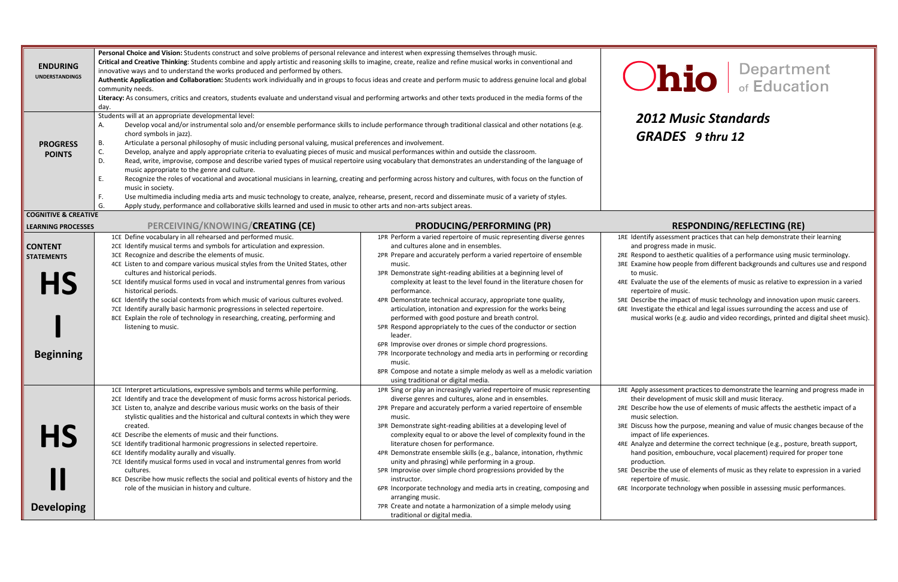## *2012 Music Standards GRADES 9 thru*

#### **PROCESSES PERCEIVING/KNOWING/CREATING (CE) PRODUCING/PERFORMING (PR) RESPONDING/REFLECTING (RE)**

Issessment practices that can help demonstrate their learning ress made in music.

to aesthetic qualities of a performance using music terminology. e how people from different backgrounds and cultures use and respond

e the use of the elements of music as relative to expression in a varied e of music.

 the use of elements of music as they relate to expression in <sup>a</sup> varied e of music.

ate technology when possible in assessing music performances.

| <b>ENDURING</b><br><b>UNDERSTANDINGS</b>                             | Personal Choice and Vision: Students construct and solve problems of personal relevance and interest when expressing themselves through music.<br>Critical and Creative Thinking: Students combine and apply artistic and reasoning skills to imagine, create, realize and refine musical works in conventional and<br>innovative ways and to understand the works produced and performed by others.<br>Authentic Application and Collaboration: Students work individually and in groups to focus ideas and create and perform music to address genuine local and global<br>community needs.<br>Literacy: As consumers, critics and creators, students evaluate and understand visual and performing artworks and other texts produced in the media forms of the<br>day.                                                                                                                                                                                                                                                                                                                                                                                                                                                     | <b>Ohio</b>                                                                                                                                                                                                                                                                                                                                                                                                                                                                                                                                                                                                                                                                                                                                                                                                                                                                            |                                                                                                                                                                                                                                                                                                                                                                                                                                                   |
|----------------------------------------------------------------------|-------------------------------------------------------------------------------------------------------------------------------------------------------------------------------------------------------------------------------------------------------------------------------------------------------------------------------------------------------------------------------------------------------------------------------------------------------------------------------------------------------------------------------------------------------------------------------------------------------------------------------------------------------------------------------------------------------------------------------------------------------------------------------------------------------------------------------------------------------------------------------------------------------------------------------------------------------------------------------------------------------------------------------------------------------------------------------------------------------------------------------------------------------------------------------------------------------------------------------|----------------------------------------------------------------------------------------------------------------------------------------------------------------------------------------------------------------------------------------------------------------------------------------------------------------------------------------------------------------------------------------------------------------------------------------------------------------------------------------------------------------------------------------------------------------------------------------------------------------------------------------------------------------------------------------------------------------------------------------------------------------------------------------------------------------------------------------------------------------------------------------|---------------------------------------------------------------------------------------------------------------------------------------------------------------------------------------------------------------------------------------------------------------------------------------------------------------------------------------------------------------------------------------------------------------------------------------------------|
| <b>PROGRESS</b><br><b>POINTS</b>                                     | Students will at an appropriate developmental level:<br>Develop vocal and/or instrumental solo and/or ensemble performance skills to include performance through traditional classical and other notations (e.g.<br>А.<br>chord symbols in jazz).<br>Articulate a personal philosophy of music including personal valuing, musical preferences and involvement.<br>В.<br>C.<br>Develop, analyze and apply appropriate criteria to evaluating pieces of music and musical performances within and outside the classroom.<br>D.<br>Read, write, improvise, compose and describe varied types of musical repertoire using vocabulary that demonstrates an understanding of the language of<br>music appropriate to the genre and culture.<br>E.<br>Recognize the roles of vocational and avocational musicians in learning, creating and performing across history and cultures, with focus on the function of<br>music in society.<br>Use multimedia including media arts and music technology to create, analyze, rehearse, present, record and disseminate music of a variety of styles.<br>F.<br>G.<br>Apply study, performance and collaborative skills learned and used in music to other arts and non-arts subject areas. |                                                                                                                                                                                                                                                                                                                                                                                                                                                                                                                                                                                                                                                                                                                                                                                                                                                                                        | <b>2012 Music Stand</b><br><b>GRADES</b> 9 thru 12                                                                                                                                                                                                                                                                                                                                                                                                |
| <b>COGNITIVE &amp; CREATIVE</b>                                      |                                                                                                                                                                                                                                                                                                                                                                                                                                                                                                                                                                                                                                                                                                                                                                                                                                                                                                                                                                                                                                                                                                                                                                                                                               |                                                                                                                                                                                                                                                                                                                                                                                                                                                                                                                                                                                                                                                                                                                                                                                                                                                                                        |                                                                                                                                                                                                                                                                                                                                                                                                                                                   |
| <b>LEARNING PROCESSES</b>                                            | PERCEIVING/KNOWING/CREATING (CE)                                                                                                                                                                                                                                                                                                                                                                                                                                                                                                                                                                                                                                                                                                                                                                                                                                                                                                                                                                                                                                                                                                                                                                                              | <b>PRODUCING/PERFORMING (PR)</b>                                                                                                                                                                                                                                                                                                                                                                                                                                                                                                                                                                                                                                                                                                                                                                                                                                                       | <b>RESPONDING/RE</b>                                                                                                                                                                                                                                                                                                                                                                                                                              |
| <b>CONTENT</b><br><b>STATEMENTS</b><br><b>HS</b><br><b>Beginning</b> | 1CE Define vocabulary in all rehearsed and performed music.<br>2CE Identify musical terms and symbols for articulation and expression.<br>3CE Recognize and describe the elements of music.<br>4CE Listen to and compare various musical styles from the United States, other<br>cultures and historical periods.<br>5CE Identify musical forms used in vocal and instrumental genres from various<br>historical periods.<br>6CE Identify the social contexts from which music of various cultures evolved.<br>7CE Identify aurally basic harmonic progressions in selected repertoire.<br>8CE Explain the role of technology in researching, creating, performing and<br>listening to music.                                                                                                                                                                                                                                                                                                                                                                                                                                                                                                                                 | 1PR Perform a varied repertoire of music representing diverse genres<br>and cultures alone and in ensembles.<br>2PR Prepare and accurately perform a varied repertoire of ensemble<br>music.<br>3PR Demonstrate sight-reading abilities at a beginning level of<br>complexity at least to the level found in the literature chosen for<br>performance.<br>4PR Demonstrate technical accuracy, appropriate tone quality,<br>articulation, intonation and expression for the works being<br>performed with good posture and breath control.<br>5PR Respond appropriately to the cues of the conductor or section<br>leader.<br>6PR Improvise over drones or simple chord progressions.<br>7PR Incorporate technology and media arts in performing or recording<br>music.<br>8PR Compose and notate a simple melody as well as a melodic variation<br>using traditional or digital media. | 1RE Identify assessment practices that can<br>and progress made in music.<br>2RE Respond to aesthetic qualities of a per<br>3RE Examine how people from different ba<br>to music.<br>4RE Evaluate the use of the elements of m<br>repertoire of music.<br>5RE Describe the impact of music technold<br>6RE Investigate the ethical and legal issues<br>musical works (e.g. audio and video re                                                     |
| <b>HS</b><br><b>Developing</b>                                       | 1CE Interpret articulations, expressive symbols and terms while performing.<br>2CE Identify and trace the development of music forms across historical periods.<br>3CE Listen to, analyze and describe various music works on the basis of their<br>stylistic qualities and the historical and cultural contexts in which they were<br>created.<br>4CE Describe the elements of music and their functions.<br>5CE Identify traditional harmonic progressions in selected repertoire.<br>6CE Identify modality aurally and visually.<br>7CE Identify musical forms used in vocal and instrumental genres from world<br>cultures.<br>8CE Describe how music reflects the social and political events of history and the<br>role of the musician in history and culture.                                                                                                                                                                                                                                                                                                                                                                                                                                                         | 1PR Sing or play an increasingly varied repertoire of music representing<br>diverse genres and cultures, alone and in ensembles.<br>2PR Prepare and accurately perform a varied repertoire of ensemble<br>music.<br>3PR Demonstrate sight-reading abilities at a developing level of<br>complexity equal to or above the level of complexity found in the<br>literature chosen for performance.<br>4PR Demonstrate ensemble skills (e.g., balance, intonation, rhythmic<br>unity and phrasing) while performing in a group.<br>5PR Improvise over simple chord progressions provided by the<br>instructor.<br>6PR Incorporate technology and media arts in creating, composing and<br>arranging music.<br>7PR Create and notate a harmonization of a simple melody using<br>traditional or digital media.                                                                              | 1RE Apply assessment practices to demon<br>their development of music skill and n<br>2RE Describe how the use of elements of r<br>music selection.<br>3RE Discuss how the purpose, meaning an<br>impact of life experiences.<br>4RE Analyze and determine the correct teo<br>hand position, embouchure, vocal pla<br>production.<br>5RE Describe the use of elements of music<br>repertoire of music.<br>6RE Incorporate technology when possible |

# hio **Bepartment**

 the impact of music technology and innovation upon music careers. te the ethical and legal issues surrounding the access and use of works (e.g. audio and video recordings, printed and digital sheet music).

sessment practices to demonstrate the learning and progress made in elopment of music skill and music literacy.

e how the use of elements of music affects the aesthetic impact of a lection.

E Discuss how the purpose, meaning and value of music changes because of the f life experiences.

> and determine the correct technique (e.g., posture, breath support, ition, embouchure, vocal placement) required for proper tone pn.